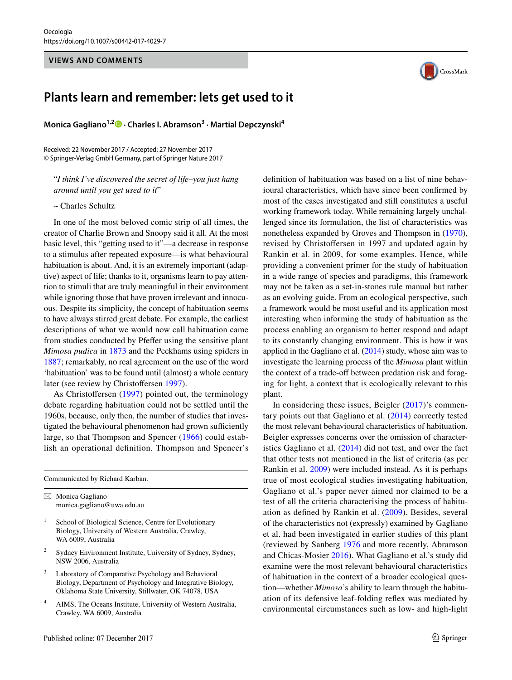## **VIEWS AND COMMENTS**



## **Plants learn and remember: lets get used to it**

**Monica Gagliano1,2 · Charles I. Abramson3 · Martial Depczynski<sup>4</sup>**

Received: 22 November 2017 / Accepted: 27 November 2017 © Springer-Verlag GmbH Germany, part of Springer Nature 2017

"*I think I've discovered the secret of life*–*you just hang around until you get used to it*"

~ Charles Schultz

In one of the most beloved comic strip of all times, the creator of Charlie Brown and Snoopy said it all. At the most basic level, this "getting used to it"—a decrease in response to a stimulus after repeated exposure—is what behavioural habituation is about. And, it is an extremely important (adaptive) aspect of life; thanks to it, organisms learn to pay attention to stimuli that are truly meaningful in their environment while ignoring those that have proven irrelevant and innocuous. Despite its simplicity, the concept of habituation seems to have always stirred great debate. For example, the earliest descriptions of what we would now call habituation came from studies conducted by Pfefer using the sensitive plant *Mimosa pudica* in [1873](#page-2-0) and the Peckhams using spiders in [1887](#page-2-1); remarkably, no real agreement on the use of the word 'habituation' was to be found until (almost) a whole century later (see review by Christofersen [1997](#page-2-2)).

As Christoffersen [\(1997\)](#page-2-2) pointed out, the terminology debate regarding habituation could not be settled until the 1960s, because, only then, the number of studies that investigated the behavioural phenomenon had grown sufficiently large, so that Thompson and Spencer ([1966](#page-2-3)) could establish an operational defnition. Thompson and Spencer's

Communicated by Richard Karban.

 $\boxtimes$  Monica Gagliano monica.gagliano@uwa.edu.au

- School of Biological Science, Centre for Evolutionary Biology, University of Western Australia, Crawley, WA 6009, Australia
- <sup>2</sup> Sydney Environment Institute, University of Sydney, Sydney, NSW 2006, Australia
- <sup>3</sup> Laboratory of Comparative Psychology and Behavioral Biology, Department of Psychology and Integrative Biology, Oklahoma State University, Stillwater, OK 74078, USA
- <sup>4</sup> AIMS, The Oceans Institute, University of Western Australia, Crawley, WA 6009, Australia

defnition of habituation was based on a list of nine behavioural characteristics, which have since been confrmed by most of the cases investigated and still constitutes a useful working framework today. While remaining largely unchallenged since its formulation, the list of characteristics was nonetheless expanded by Groves and Thompson in [\(1970](#page-2-4)), revised by Christofersen in 1997 and updated again by Rankin et al. in 2009, for some examples. Hence, while providing a convenient primer for the study of habituation in a wide range of species and paradigms, this framework may not be taken as a set-in-stones rule manual but rather as an evolving guide. From an ecological perspective, such a framework would be most useful and its application most interesting when informing the study of habituation as the process enabling an organism to better respond and adapt to its constantly changing environment. This is how it was applied in the Gagliano et al. [\(2014\)](#page-2-5) study, whose aim was to investigate the learning process of the *Mimosa* plant within the context of a trade-off between predation risk and foraging for light, a context that is ecologically relevant to this plant.

In considering these issues, Beigler  $(2017)$  $(2017)$  $(2017)$ 's commentary points out that Gagliano et al. [\(2014\)](#page-2-5) correctly tested the most relevant behavioural characteristics of habituation. Beigler expresses concerns over the omission of characteristics Gagliano et al. ([2014\)](#page-2-5) did not test, and over the fact that other tests not mentioned in the list of criteria (as per Rankin et al. [2009\)](#page-2-7) were included instead. As it is perhaps true of most ecological studies investigating habituation, Gagliano et al.'s paper never aimed nor claimed to be a test of all the criteria characterising the process of habituation as defned by Rankin et al. ([2009\)](#page-2-7). Besides, several of the characteristics not (expressly) examined by Gagliano et al. had been investigated in earlier studies of this plant (reviewed by Sanberg [1976](#page-2-8) and more recently, Abramson and Chicas-Mosier [2016\)](#page-2-9). What Gagliano et al.'s study did examine were the most relevant behavioural characteristics of habituation in the context of a broader ecological question—whether *Mimosa*'s ability to learn through the habituation of its defensive leaf-folding refex was mediated by environmental circumstances such as low- and high-light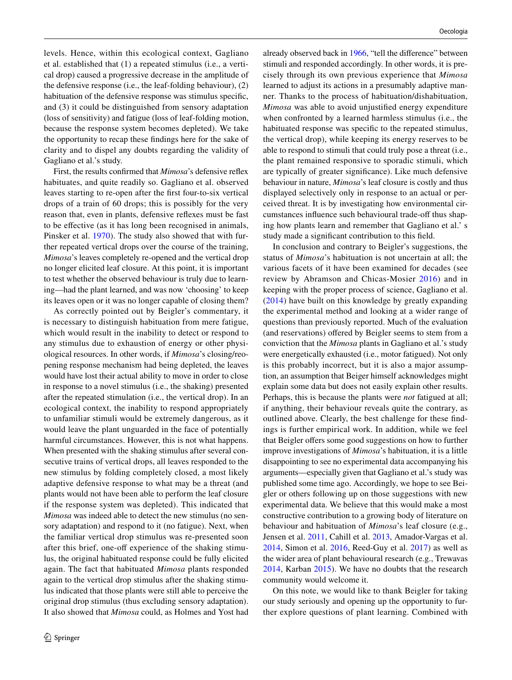levels. Hence, within this ecological context, Gagliano et al. established that (1) a repeated stimulus (i.e., a vertical drop) caused a progressive decrease in the amplitude of the defensive response (i.e., the leaf-folding behaviour), (2) habituation of the defensive response was stimulus specifc, and (3) it could be distinguished from sensory adaptation (loss of sensitivity) and fatigue (loss of leaf-folding motion, because the response system becomes depleted). We take the opportunity to recap these fndings here for the sake of clarity and to dispel any doubts regarding the validity of Gagliano et al.'s study.

First, the results confrmed that *Mimosa*'s defensive refex habituates, and quite readily so. Gagliano et al. observed leaves starting to re-open after the frst four-to-six vertical drops of a train of 60 drops; this is possibly for the very reason that, even in plants, defensive refexes must be fast to be efective (as it has long been recognised in animals, Pinsker et al. [1970](#page-2-10)). The study also showed that with further repeated vertical drops over the course of the training, *Mimosa*'s leaves completely re-opened and the vertical drop no longer elicited leaf closure. At this point, it is important to test whether the observed behaviour is truly due to learning—had the plant learned, and was now 'choosing' to keep its leaves open or it was no longer capable of closing them?

As correctly pointed out by Beigler's commentary, it is necessary to distinguish habituation from mere fatigue, which would result in the inability to detect or respond to any stimulus due to exhaustion of energy or other physiological resources. In other words, if *Mimosa*'s closing/reopening response mechanism had being depleted, the leaves would have lost their actual ability to move in order to close in response to a novel stimulus (i.e., the shaking) presented after the repeated stimulation (i.e., the vertical drop). In an ecological context, the inability to respond appropriately to unfamiliar stimuli would be extremely dangerous, as it would leave the plant unguarded in the face of potentially harmful circumstances. However, this is not what happens. When presented with the shaking stimulus after several consecutive trains of vertical drops, all leaves responded to the new stimulus by folding completely closed, a most likely adaptive defensive response to what may be a threat (and plants would not have been able to perform the leaf closure if the response system was depleted). This indicated that *Mimosa* was indeed able to detect the new stimulus (no sensory adaptation) and respond to it (no fatigue). Next, when the familiar vertical drop stimulus was re-presented soon after this brief, one-off experience of the shaking stimulus, the original habituated response could be fully elicited again. The fact that habituated *Mimosa* plants responded again to the vertical drop stimulus after the shaking stimulus indicated that those plants were still able to perceive the original drop stimulus (thus excluding sensory adaptation). It also showed that *Mimosa* could, as Holmes and Yost had already observed back in [1966](#page-2-11), "tell the diference" between stimuli and responded accordingly. In other words, it is precisely through its own previous experience that *Mimosa* learned to adjust its actions in a presumably adaptive manner. Thanks to the process of habituation/dishabituation, *Mimosa* was able to avoid unjustifed energy expenditure when confronted by a learned harmless stimulus (i.e., the habituated response was specific to the repeated stimulus, the vertical drop), while keeping its energy reserves to be able to respond to stimuli that could truly pose a threat (i.e., the plant remained responsive to sporadic stimuli, which are typically of greater signifcance). Like much defensive behaviour in nature, *Mimosa*'s leaf closure is costly and thus displayed selectively only in response to an actual or perceived threat. It is by investigating how environmental circumstances influence such behavioural trade-off thus shaping how plants learn and remember that Gagliano et al.' s study made a signifcant contribution to this feld.

In conclusion and contrary to Beigler's suggestions, the status of *Mimosa*'s habituation is not uncertain at all; the various facets of it have been examined for decades (see review by Abramson and Chicas-Mosier [2016](#page-2-9)) and in keeping with the proper process of science, Gagliano et al. ([2014](#page-2-5)) have built on this knowledge by greatly expanding the experimental method and looking at a wider range of questions than previously reported. Much of the evaluation (and reservations) offered by Beigler seems to stem from a conviction that the *Mimosa* plants in Gagliano et al.'s study were energetically exhausted (i.e., motor fatigued). Not only is this probably incorrect, but it is also a major assumption, an assumption that Beiger himself acknowledges might explain some data but does not easily explain other results. Perhaps, this is because the plants were *not* fatigued at all; if anything, their behaviour reveals quite the contrary, as outlined above. Clearly, the best challenge for these fndings is further empirical work. In addition, while we feel that Beigler offers some good suggestions on how to further improve investigations of *Mimosa*'s habituation, it is a little disappointing to see no experimental data accompanying his arguments—especially given that Gagliano et al.'s study was published some time ago. Accordingly, we hope to see Beigler or others following up on those suggestions with new experimental data. We believe that this would make a most constructive contribution to a growing body of literature on behaviour and habituation of *Mimosa*'s leaf closure (e.g., Jensen et al. [2011](#page-2-12), Cahill et al. [2013,](#page-2-13) Amador-Vargas et al. [2014,](#page-2-14) Simon et al. [2016,](#page-2-15) Reed-Guy et al. [2017\)](#page-2-16) as well as the wider area of plant behavioural research (e.g., Trewavas [2014,](#page-2-17) Karban [2015\)](#page-2-18). We have no doubts that the research community would welcome it.

On this note, we would like to thank Beigler for taking our study seriously and opening up the opportunity to further explore questions of plant learning. Combined with